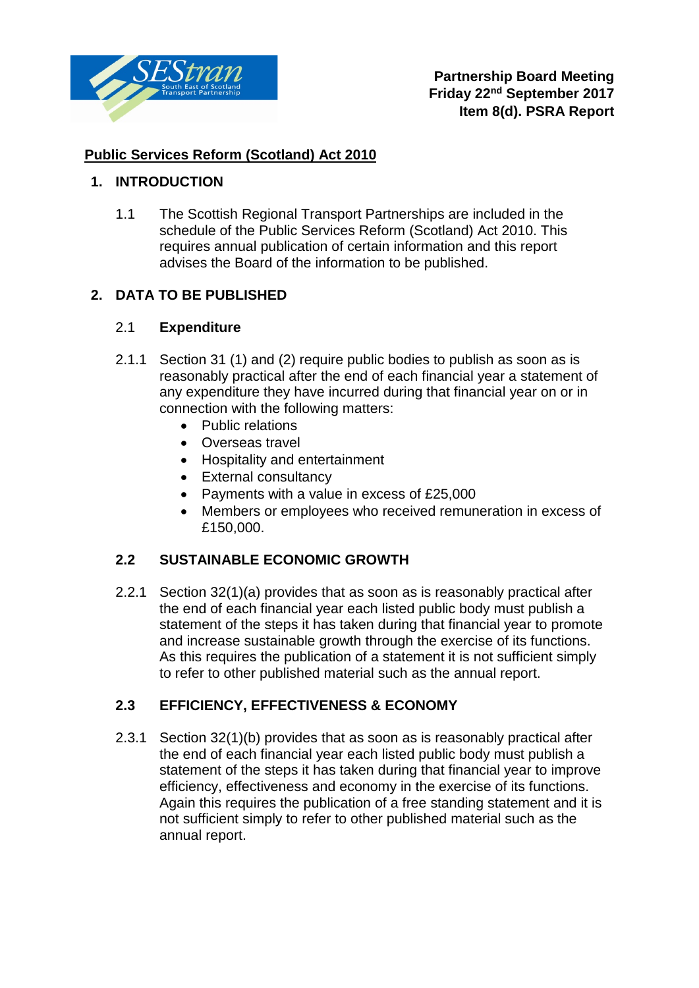

# **Public Services Reform (Scotland) Act 2010**

# **1. INTRODUCTION**

1.1 The Scottish Regional Transport Partnerships are included in the schedule of the Public Services Reform (Scotland) Act 2010. This requires annual publication of certain information and this report advises the Board of the information to be published.

# **2. DATA TO BE PUBLISHED**

### 2.1 **Expenditure**

- 2.1.1 Section 31 (1) and (2) require public bodies to publish as soon as is reasonably practical after the end of each financial year a statement of any expenditure they have incurred during that financial year on or in connection with the following matters:
	- Public relations
	- Overseas travel
	- Hospitality and entertainment
	- External consultancy
	- Payments with a value in excess of £25,000
	- Members or employees who received remuneration in excess of £150,000.

### **2.2 SUSTAINABLE ECONOMIC GROWTH**

2.2.1 Section 32(1)(a) provides that as soon as is reasonably practical after the end of each financial year each listed public body must publish a statement of the steps it has taken during that financial year to promote and increase sustainable growth through the exercise of its functions. As this requires the publication of a statement it is not sufficient simply to refer to other published material such as the annual report.

### **2.3 EFFICIENCY, EFFECTIVENESS & ECONOMY**

2.3.1 Section 32(1)(b) provides that as soon as is reasonably practical after the end of each financial year each listed public body must publish a statement of the steps it has taken during that financial year to improve efficiency, effectiveness and economy in the exercise of its functions. Again this requires the publication of a free standing statement and it is not sufficient simply to refer to other published material such as the annual report.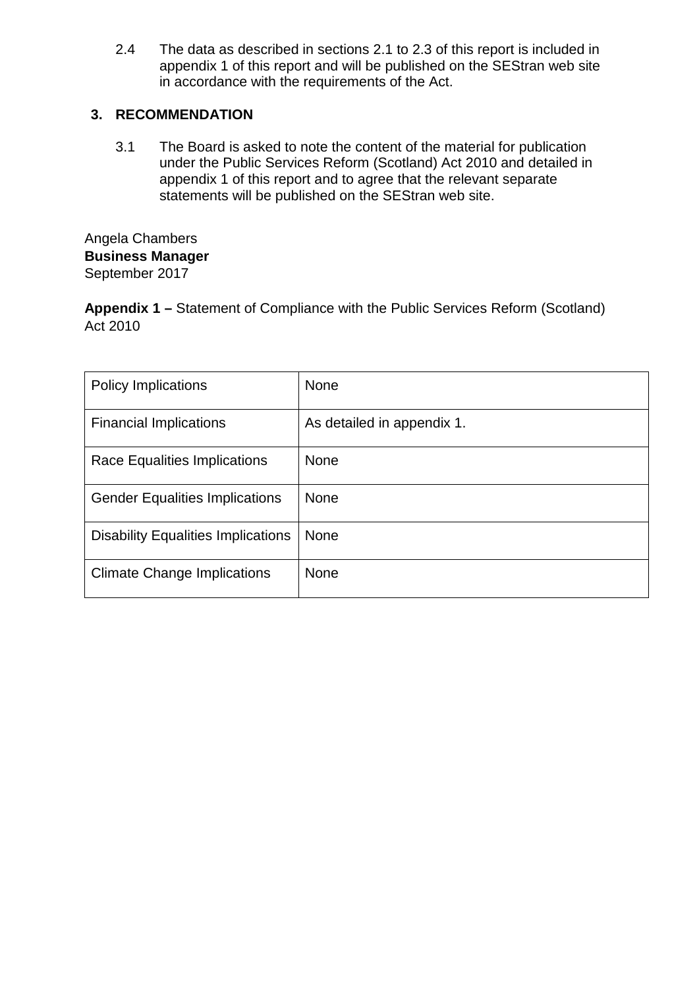2.4 The data as described in sections 2.1 to 2.3 of this report is included in appendix 1 of this report and will be published on the SEStran web site in accordance with the requirements of the Act.

### **3. RECOMMENDATION**

3.1 The Board is asked to note the content of the material for publication under the Public Services Reform (Scotland) Act 2010 and detailed in appendix 1 of this report and to agree that the relevant separate statements will be published on the SEStran web site.

Angela Chambers **Business Manager** September 2017

**Appendix 1 –** Statement of Compliance with the Public Services Reform (Scotland) Act 2010

| <b>Policy Implications</b>                | None                       |
|-------------------------------------------|----------------------------|
| <b>Financial Implications</b>             | As detailed in appendix 1. |
| Race Equalities Implications              | <b>None</b>                |
| <b>Gender Equalities Implications</b>     | None                       |
| <b>Disability Equalities Implications</b> | None                       |
| <b>Climate Change Implications</b>        | <b>None</b>                |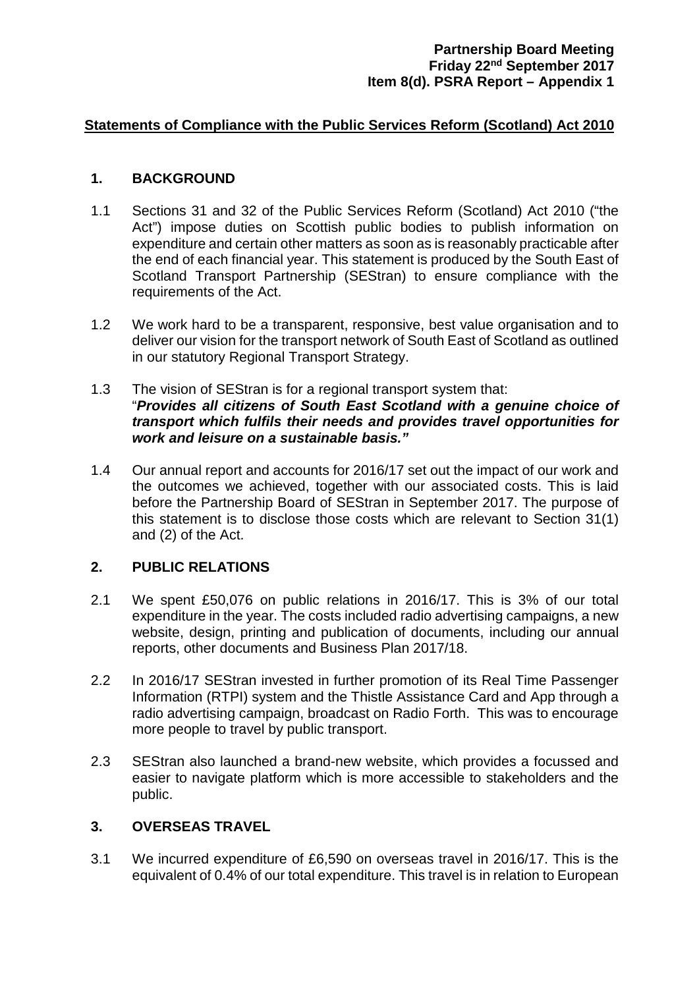#### **Statements of Compliance with the Public Services Reform (Scotland) Act 2010**

#### **1. BACKGROUND**

- 1.1 Sections 31 and 32 of the Public Services Reform (Scotland) Act 2010 ("the Act") impose duties on Scottish public bodies to publish information on expenditure and certain other matters as soon as is reasonably practicable after the end of each financial year. This statement is produced by the South East of Scotland Transport Partnership (SEStran) to ensure compliance with the requirements of the Act.
- 1.2 We work hard to be a transparent, responsive, best value organisation and to deliver our vision for the transport network of South East of Scotland as outlined in our statutory Regional Transport Strategy.
- 1.3 The vision of SEStran is for a regional transport system that: "*Provides all citizens of South East Scotland with a genuine choice of transport which fulfils their needs and provides travel opportunities for work and leisure on a sustainable basis."*
- 1.4 Our annual report and accounts for 2016/17 set out the impact of our work and the outcomes we achieved, together with our associated costs. This is laid before the Partnership Board of SEStran in September 2017. The purpose of this statement is to disclose those costs which are relevant to Section 31(1) and (2) of the Act.

#### **2. PUBLIC RELATIONS**

- 2.1 We spent £50,076 on public relations in 2016/17. This is 3% of our total expenditure in the year. The costs included radio advertising campaigns, a new website, design, printing and publication of documents, including our annual reports, other documents and Business Plan 2017/18.
- 2.2 In 2016/17 SEStran invested in further promotion of its Real Time Passenger Information (RTPI) system and the Thistle Assistance Card and App through a radio advertising campaign, broadcast on Radio Forth. This was to encourage more people to travel by public transport.
- 2.3 SEStran also launched a brand-new website, which provides a focussed and easier to navigate platform which is more accessible to stakeholders and the public.

#### **3. OVERSEAS TRAVEL**

3.1 We incurred expenditure of £6,590 on overseas travel in 2016/17. This is the equivalent of 0.4% of our total expenditure. This travel is in relation to European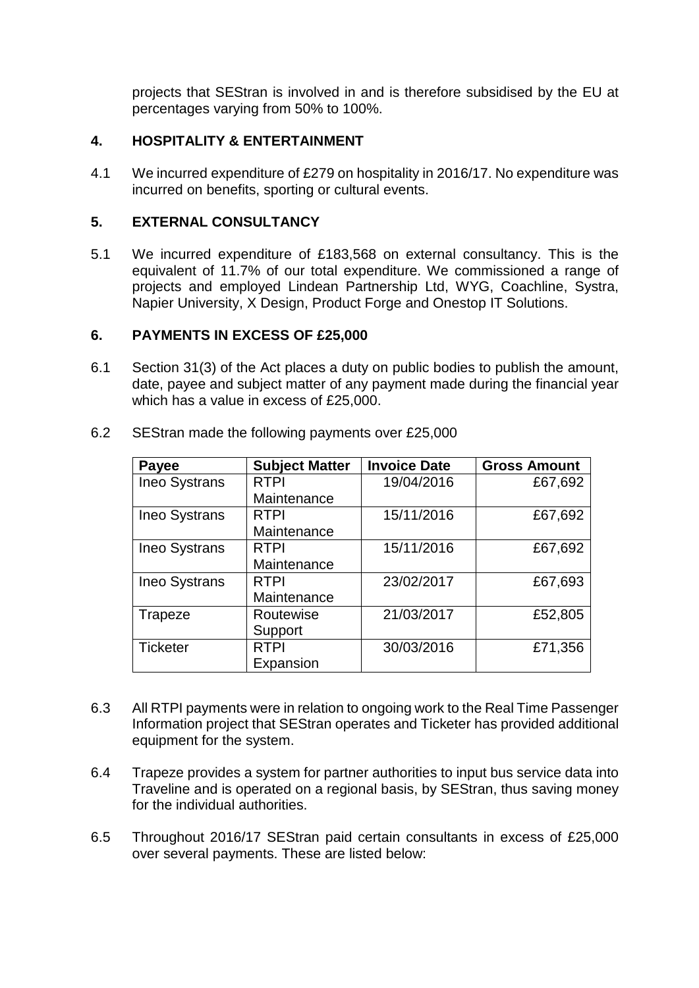projects that SEStran is involved in and is therefore subsidised by the EU at percentages varying from 50% to 100%.

### **4. HOSPITALITY & ENTERTAINMENT**

4.1 We incurred expenditure of £279 on hospitality in 2016/17. No expenditure was incurred on benefits, sporting or cultural events.

#### **5. EXTERNAL CONSULTANCY**

5.1 We incurred expenditure of £183,568 on external consultancy. This is the equivalent of 11.7% of our total expenditure. We commissioned a range of projects and employed Lindean Partnership Ltd, WYG, Coachline, Systra, Napier University, X Design, Product Forge and Onestop IT Solutions.

#### **6. PAYMENTS IN EXCESS OF £25,000**

6.1 Section 31(3) of the Act places a duty on public bodies to publish the amount, date, payee and subject matter of any payment made during the financial year which has a value in excess of £25,000.

| Payee                | <b>Subject Matter</b> | <b>Invoice Date</b> | <b>Gross Amount</b> |
|----------------------|-----------------------|---------------------|---------------------|
| <b>Ineo Systrans</b> | <b>RTPI</b>           | 19/04/2016          | £67,692             |
|                      | Maintenance           |                     |                     |
| Ineo Systrans        | <b>RTPI</b>           | 15/11/2016          | £67,692             |
|                      | Maintenance           |                     |                     |
| <b>Ineo Systrans</b> | <b>RTPI</b>           | 15/11/2016          | £67,692             |
|                      | Maintenance           |                     |                     |
| <b>Ineo Systrans</b> | <b>RTPI</b>           | 23/02/2017          | £67,693             |
|                      | Maintenance           |                     |                     |
| Trapeze              | Routewise             | 21/03/2017          | £52,805             |
|                      | Support               |                     |                     |
| <b>Ticketer</b>      | <b>RTPI</b>           | 30/03/2016          | £71,356             |
|                      | Expansion             |                     |                     |

6.2 SEStran made the following payments over £25,000

- 6.3 All RTPI payments were in relation to ongoing work to the Real Time Passenger Information project that SEStran operates and Ticketer has provided additional equipment for the system.
- 6.4 Trapeze provides a system for partner authorities to input bus service data into Traveline and is operated on a regional basis, by SEStran, thus saving money for the individual authorities.
- 6.5 Throughout 2016/17 SEStran paid certain consultants in excess of £25,000 over several payments. These are listed below: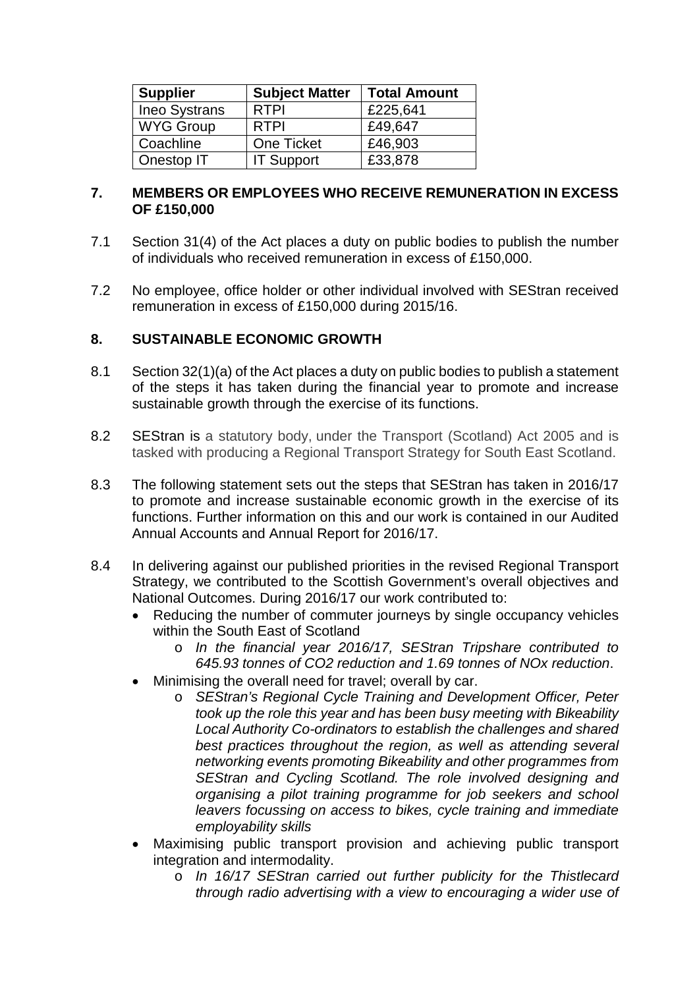| <b>Supplier</b>      | <b>Subject Matter</b> | <b>Total Amount</b> |
|----------------------|-----------------------|---------------------|
| <b>Ineo Systrans</b> | <b>RTPI</b>           | £225,641            |
| <b>WYG Group</b>     | <b>RTPI</b>           | £49,647             |
| Coachline            | One Ticket            | £46,903             |
| Onestop IT           | <b>IT Support</b>     | £33,878             |

#### **7. MEMBERS OR EMPLOYEES WHO RECEIVE REMUNERATION IN EXCESS OF £150,000**

- 7.1 Section 31(4) of the Act places a duty on public bodies to publish the number of individuals who received remuneration in excess of £150,000.
- 7.2 No employee, office holder or other individual involved with SEStran received remuneration in excess of £150,000 during 2015/16.

### **8. SUSTAINABLE ECONOMIC GROWTH**

- 8.1 Section 32(1)(a) of the Act places a duty on public bodies to publish a statement of the steps it has taken during the financial year to promote and increase sustainable growth through the exercise of its functions.
- 8.2 SEStran is a statutory body, under the Transport (Scotland) Act 2005 and is tasked with producing a Regional Transport Strategy for South East Scotland.
- 8.3 The following statement sets out the steps that SEStran has taken in 2016/17 to promote and increase sustainable economic growth in the exercise of its functions. Further information on this and our work is contained in our Audited Annual Accounts and Annual Report for 2016/17.
- 8.4 In delivering against our published priorities in the revised Regional Transport Strategy, we contributed to the Scottish Government's overall objectives and National Outcomes. During 2016/17 our work contributed to:
	- Reducing the number of commuter journeys by single occupancy vehicles within the South East of Scotland
		- o *In the financial year 2016/17, SEStran Tripshare contributed to 645.93 tonnes of CO2 reduction and 1.69 tonnes of NOx reduction*.
	- Minimising the overall need for travel; overall by car.
		- o *SEStran's Regional Cycle Training and Development Officer, Peter took up the role this year and has been busy meeting with Bikeability Local Authority Co-ordinators to establish the challenges and shared*  best practices throughout the region, as well as attending several *networking events promoting Bikeability and other programmes from SEStran and Cycling Scotland. The role involved designing and organising a pilot training programme for job seekers and school leavers focussing on access to bikes, cycle training and immediate employability skills*
	- Maximising public transport provision and achieving public transport integration and intermodality.
		- o *In 16/17 SEStran carried out further publicity for the Thistlecard through radio advertising with a view to encouraging a wider use of*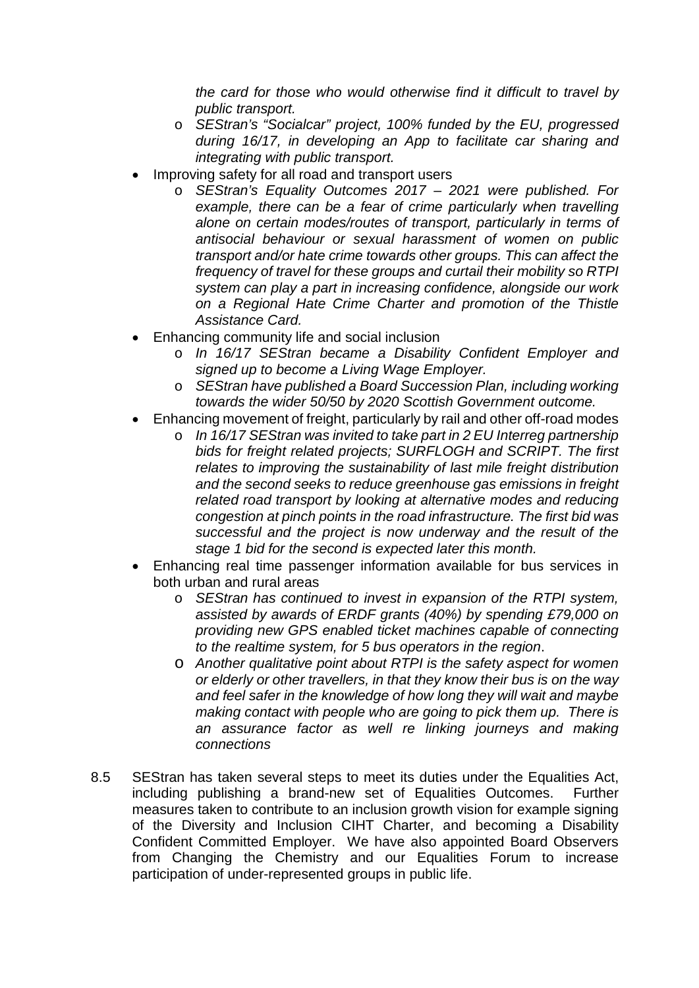*the card for those who would otherwise find it difficult to travel by public transport.*

- o *SEStran's "Socialcar" project, 100% funded by the EU, progressed during 16/17, in developing an App to facilitate car sharing and integrating with public transport.*
- Improving safety for all road and transport users
	- o *SEStran's Equality Outcomes 2017 – 2021 were published. For*  example, there can be a fear of crime particularly when travelling *alone on certain modes/routes of transport, particularly in terms of antisocial behaviour or sexual harassment of women on public transport and/or hate crime towards other groups. This can affect the frequency of travel for these groups and curtail their mobility so RTPI system can play a part in increasing confidence, alongside our work on a Regional Hate Crime Charter and promotion of the Thistle Assistance Card.*
- Enhancing community life and social inclusion
	- o *In 16/17 SEStran became a Disability Confident Employer and signed up to become a Living Wage Employer.*
	- o *SEStran have published a Board Succession Plan, including working towards the wider 50/50 by 2020 Scottish Government outcome.*
- Enhancing movement of freight, particularly by rail and other off-road modes
	- o *In 16/17 SEStran was invited to take part in 2 EU Interreg partnership bids for freight related projects; SURFLOGH and SCRIPT. The first relates to improving the sustainability of last mile freight distribution and the second seeks to reduce greenhouse gas emissions in freight related road transport by looking at alternative modes and reducing congestion at pinch points in the road infrastructure. The first bid was successful and the project is now underway and the result of the stage 1 bid for the second is expected later this month.*
- Enhancing real time passenger information available for bus services in both urban and rural areas
	- o *SEStran has continued to invest in expansion of the RTPI system, assisted by awards of ERDF grants (40%) by spending £79,000 on providing new GPS enabled ticket machines capable of connecting to the realtime system, for 5 bus operators in the region*.
	- o *Another qualitative point about RTPI is the safety aspect for women or elderly or other travellers, in that they know their bus is on the way and feel safer in the knowledge of how long they will wait and maybe making contact with people who are going to pick them up. There is an assurance factor as well re linking journeys and making connections*
- 8.5 SEStran has taken several steps to meet its duties under the Equalities Act, including publishing a brand-new set of Equalities Outcomes. Further measures taken to contribute to an inclusion growth vision for example signing of the Diversity and Inclusion CIHT Charter, and becoming a Disability Confident Committed Employer. We have also appointed Board Observers from Changing the Chemistry and our Equalities Forum to increase participation of under-represented groups in public life.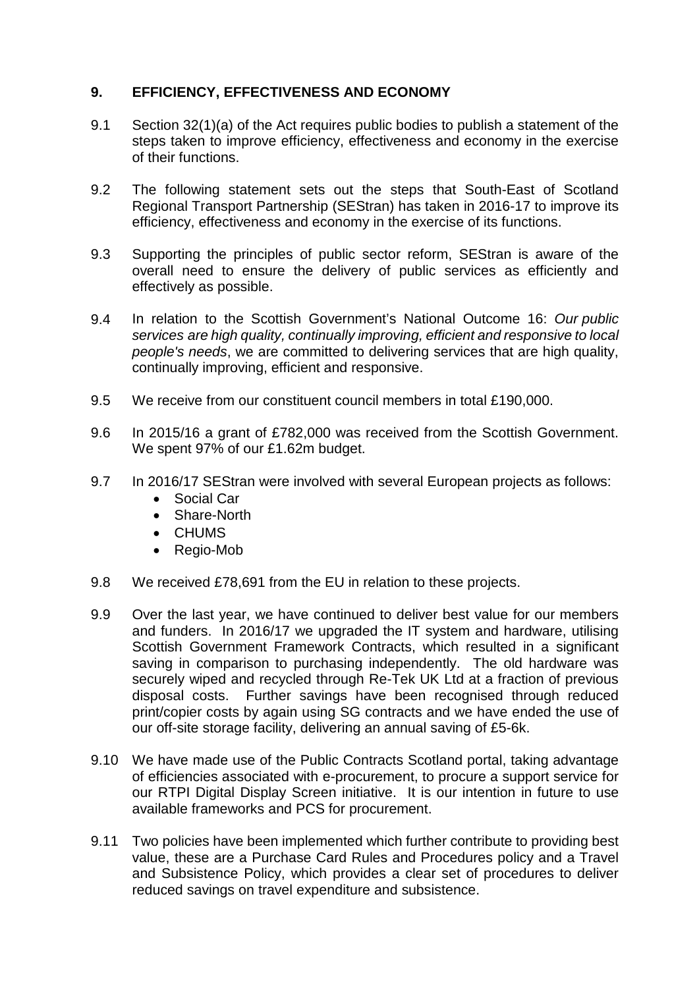### **9. EFFICIENCY, EFFECTIVENESS AND ECONOMY**

- 9.1 Section 32(1)(a) of the Act requires public bodies to publish a statement of the steps taken to improve efficiency, effectiveness and economy in the exercise of their functions.
- 9.2 The following statement sets out the steps that South-East of Scotland Regional Transport Partnership (SEStran) has taken in 2016-17 to improve its efficiency, effectiveness and economy in the exercise of its functions.
- 9.3 Supporting the principles of public sector reform, SEStran is aware of the overall need to ensure the delivery of public services as efficiently and effectively as possible.
- 9.4 In relation to the Scottish Government's National Outcome 16: *Our public services are high quality, continually improving, efficient and responsive to local people's needs*, we are committed to delivering services that are high quality, continually improving, efficient and responsive.
- 9.5 We receive from our constituent council members in total £190,000.
- 9.6 In 2015/16 a grant of £782,000 was received from the Scottish Government. We spent 97% of our £1.62m budget.
- 9.7 In 2016/17 SEStran were involved with several European projects as follows:
	- Social Car
	- Share-North
	- CHUMS
	- Regio-Mob
- 9.8 We received £78,691 from the EU in relation to these projects.
- 9.9 Over the last year, we have continued to deliver best value for our members and funders. In 2016/17 we upgraded the IT system and hardware, utilising Scottish Government Framework Contracts, which resulted in a significant saving in comparison to purchasing independently. The old hardware was securely wiped and recycled through Re-Tek UK Ltd at a fraction of previous disposal costs. Further savings have been recognised through reduced print/copier costs by again using SG contracts and we have ended the use of our off-site storage facility, delivering an annual saving of £5-6k.
- 9.10 We have made use of the Public Contracts Scotland portal, taking advantage of efficiencies associated with e-procurement, to procure a support service for our RTPI Digital Display Screen initiative. It is our intention in future to use available frameworks and PCS for procurement.
- 9.11 Two policies have been implemented which further contribute to providing best value, these are a Purchase Card Rules and Procedures policy and a Travel and Subsistence Policy, which provides a clear set of procedures to deliver reduced savings on travel expenditure and subsistence.